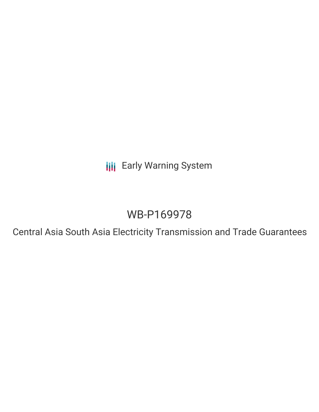**III** Early Warning System

# WB-P169978

Central Asia South Asia Electricity Transmission and Trade Guarantees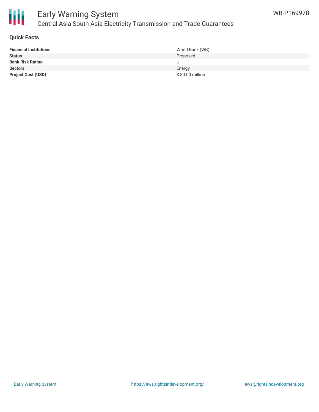

# Early Warning System Central Asia South Asia Electricity Transmission and Trade Guarantees

### **Quick Facts**

| <b>Financial Institutions</b> | World Bank (WB)  |
|-------------------------------|------------------|
| <b>Status</b>                 | Proposed         |
| <b>Bank Risk Rating</b>       |                  |
| <b>Sectors</b>                | Energy           |
| <b>Project Cost (USD)</b>     | $$80.00$ million |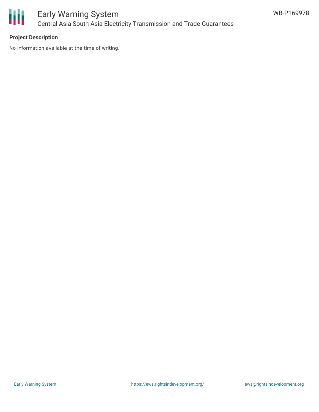

# Early Warning System Central Asia South Asia Electricity Transmission and Trade Guarantees

### **Project Description**

No information available at the time of writing.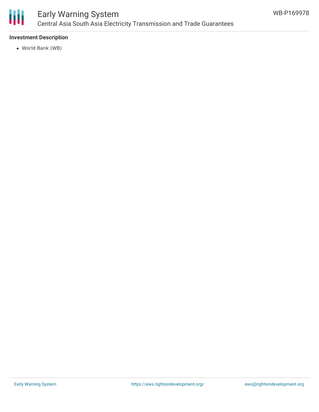

# Early Warning System Central Asia South Asia Electricity Transmission and Trade Guarantees

### **Investment Description**

World Bank (WB)